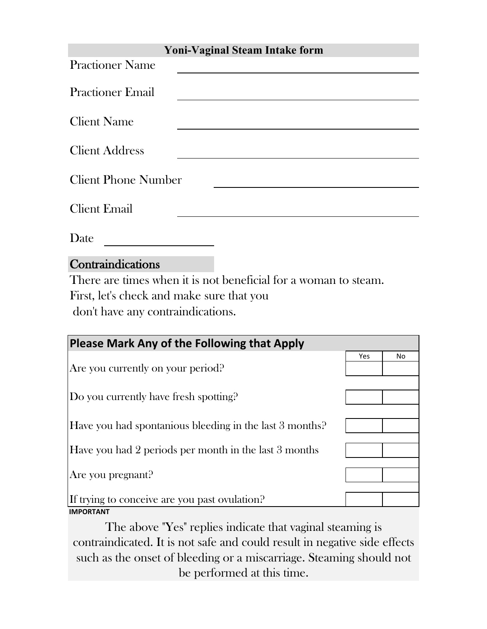| <b>Yoni-Vaginal Steam Intake form</b>                                                                                                                                                                                                              |
|----------------------------------------------------------------------------------------------------------------------------------------------------------------------------------------------------------------------------------------------------|
| <b>Practioner Name</b>                                                                                                                                                                                                                             |
| <b>Practioner Email</b>                                                                                                                                                                                                                            |
|                                                                                                                                                                                                                                                    |
| <b>Client Name</b>                                                                                                                                                                                                                                 |
| <b>Client Address</b>                                                                                                                                                                                                                              |
| <b>Client Phone Number</b>                                                                                                                                                                                                                         |
| <b>Client Email</b>                                                                                                                                                                                                                                |
|                                                                                                                                                                                                                                                    |
| Date                                                                                                                                                                                                                                               |
| $\bullet$ . The second second second second second second second second second second second second second second second second second second second second second second second second second second second second second second<br>$\sim$ $\sim$ |

Contraindications There are times when it is not beneficial for a woman to steam. First, let's check and make sure that you

don't have any contraindications.

| <b>Please Mark Any of the Following that Apply</b>      |     |    |
|---------------------------------------------------------|-----|----|
|                                                         | Yes | No |
| Are you currently on your period?                       |     |    |
|                                                         |     |    |
| Do you currently have fresh spotting?                   |     |    |
|                                                         |     |    |
| Have you had spontanious bleeding in the last 3 months? |     |    |
|                                                         |     |    |
| Have you had 2 periods per month in the last 3 months   |     |    |
|                                                         |     |    |
| Are you pregnant?                                       |     |    |
| If trying to conceive are you past ovulation?           |     |    |
| <b>IMPORTANT</b>                                        |     |    |

The above "Yes" replies indicate that vaginal steaming is contraindicated. It is not safe and could result in negative side effects such as the onset of bleeding or a miscarriage. Steaming should not be performed at this time.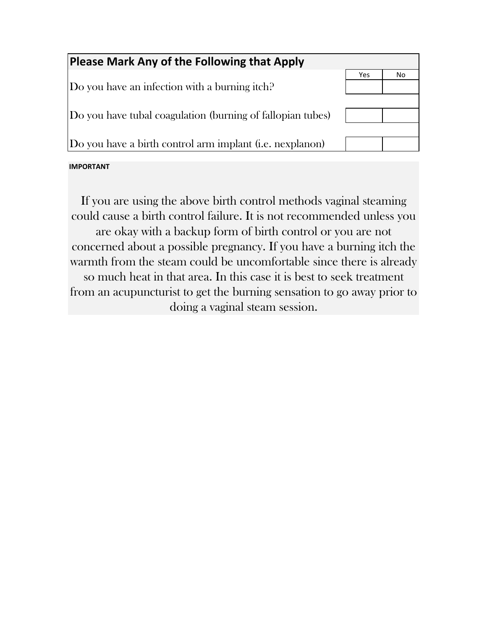| Please Mark Any of the Following that Apply                |     |    |
|------------------------------------------------------------|-----|----|
|                                                            | Yes | No |
| Do you have an infection with a burning itch?              |     |    |
|                                                            |     |    |
| Do you have tubal coagulation (burning of fallopian tubes) |     |    |
|                                                            |     |    |
| Do you have a birth control arm implant (i.e. nexplanon)   |     |    |
|                                                            |     |    |

#### **IMPORTANT**

If you are using the above birth control methods vaginal steaming could cause a birth control failure. It is not recommended unless you are okay with a backup form of birth control or you are not concerned about a possible pregnancy. If you have a burning itch the warmth from the steam could be uncomfortable since there is already so much heat in that area. In this case it is best to seek treatment from an acupuncturist to get the burning sensation to go away prior to doing a vaginal steam session.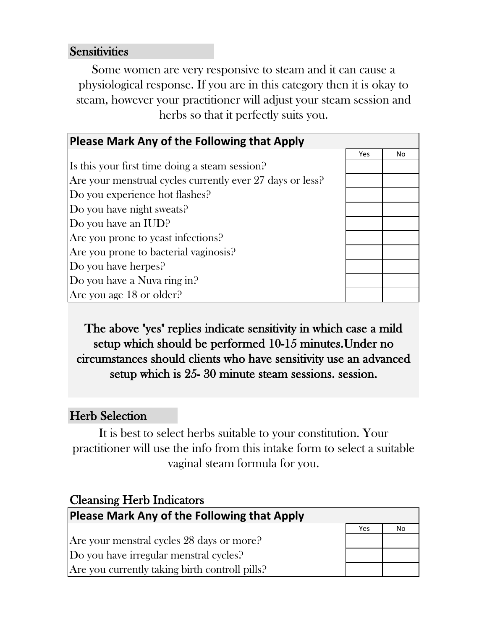#### **Sensitivities**

Some women are very responsive to steam and it can cause a physiological response. If you are in this category then it is okay to steam, however your practitioner will adjust your steam session and herbs so that it perfectly suits you.

| Please Mark Any of the Following that Apply               |     |    |
|-----------------------------------------------------------|-----|----|
|                                                           | Yes | No |
| Is this your first time doing a steam session?            |     |    |
| Are your menstrual cycles currently ever 27 days or less? |     |    |
| Do you experience hot flashes?                            |     |    |
| Do you have night sweats?                                 |     |    |
| Do you have an IUD?                                       |     |    |
| Are you prone to yeast infections?                        |     |    |
| Are you prone to bacterial vaginosis?                     |     |    |
| Do you have herpes?                                       |     |    |
| Do you have a Nuva ring in?                               |     |    |
| Are you age $18$ or older?                                |     |    |

The above "yes" replies indicate sensitivity in which case a mild setup which should be performed 10-15 minutes.Under no circumstances should clients who have sensitivity use an advanced setup which is 25- 30 minute steam sessions. session.

### Herb Selection

It is best to select herbs suitable to your constitution. Your practitioner will use the info from this intake form to select a suitable vaginal steam formula for you.

| <b>Cleansing Herb Indicators</b>                   |     |    |
|----------------------------------------------------|-----|----|
| <b>Please Mark Any of the Following that Apply</b> |     |    |
|                                                    | Yes | No |
| Are your menstral cycles 28 days or more?          |     |    |
| Do you have irregular menstral cycles?             |     |    |
| Are you currently taking birth controll pills?     |     |    |